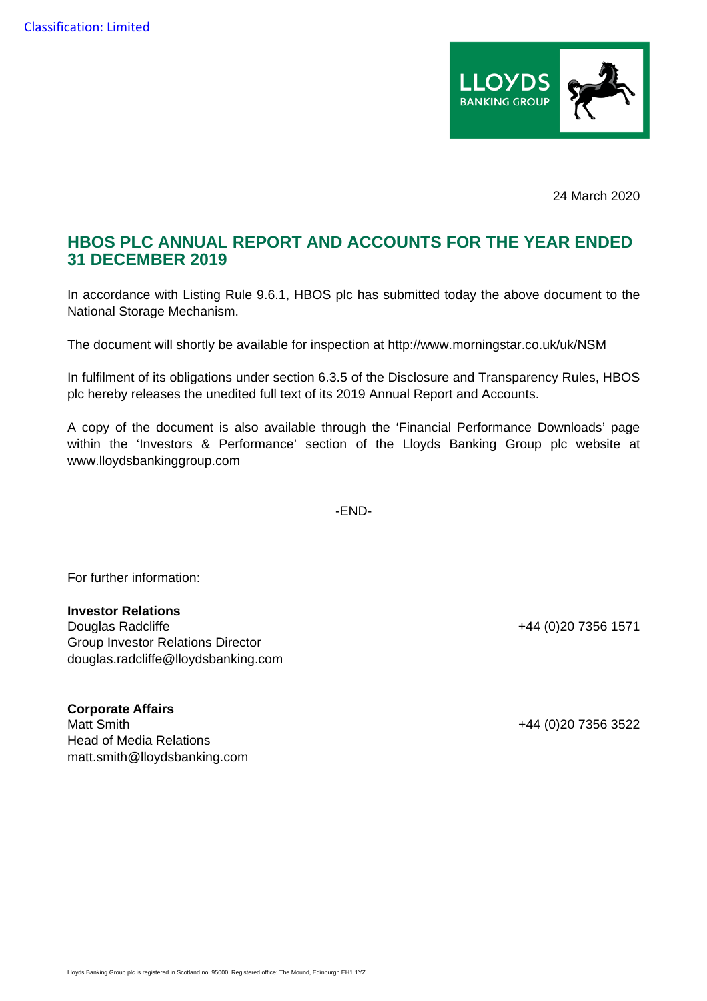

24 March 2020

## **HBOS PLC ANNUAL REPORT AND ACCOUNTS FOR THE YEAR ENDED 31 DECEMBER 2019**

In accordance with Listing Rule 9.6.1, HBOS plc has submitted today the above document to the National Storage Mechanism.

The document will shortly be available for inspection at http://www.morningstar.co.uk/uk/NSM

In fulfilment of its obligations under section 6.3.5 of the Disclosure and Transparency Rules, HBOS plc hereby releases the unedited full text of its 2019 Annual Report and Accounts.

A copy of the document is also available through the 'Financial Performance Downloads' page within the 'Investors & Performance' section of the Lloyds Banking Group plc website at www.lloydsbankinggroup.com

-END-

For further information:

## **Investor Relations**

Douglas Radcliffe +44 (0)20 7356 1571 Group Investor Relations Director douglas.radcliffe@lloydsbanking.com

**Corporate Affairs**  Matt Smith +44 (0)20 7356 3522 Head of Media Relations matt.smith@lloydsbanking.com